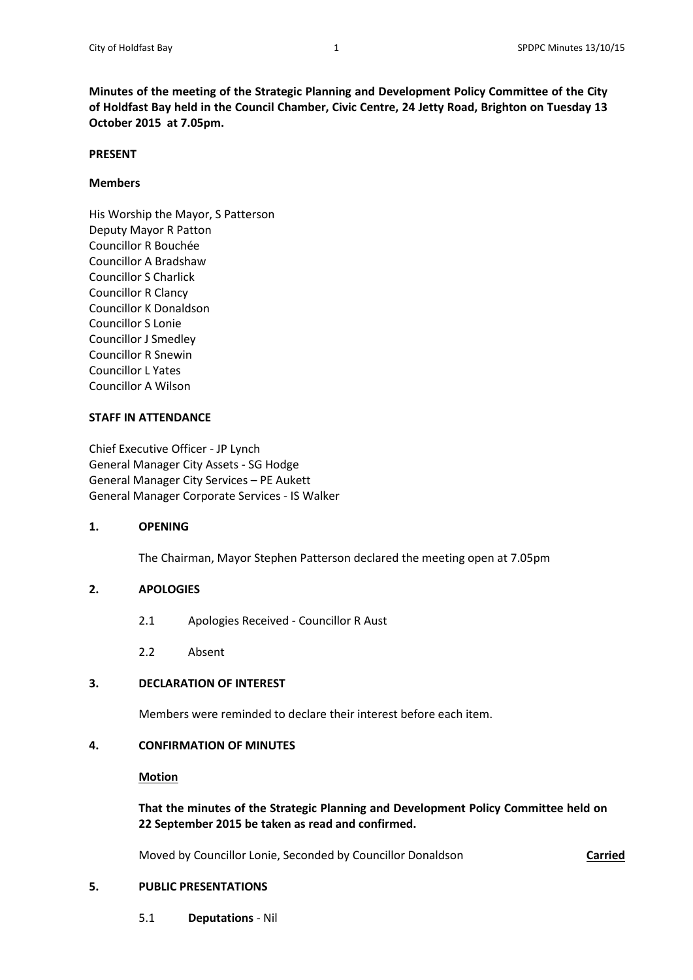**Minutes of the meeting of the Strategic Planning and Development Policy Committee of the City of Holdfast Bay held in the Council Chamber, Civic Centre, 24 Jetty Road, Brighton on Tuesday 13 October 2015 at 7.05pm.**

#### **PRESENT**

# **Members**

His Worship the Mayor, S Patterson Deputy Mayor R Patton Councillor R Bouchée Councillor A Bradshaw Councillor S Charlick Councillor R Clancy Councillor K Donaldson Councillor S Lonie Councillor J Smedley Councillor R Snewin Councillor L Yates Councillor A Wilson

## **STAFF IN ATTENDANCE**

Chief Executive Officer - JP Lynch General Manager City Assets - SG Hodge General Manager City Services – PE Aukett General Manager Corporate Services - IS Walker

# **1. OPENING**

The Chairman, Mayor Stephen Patterson declared the meeting open at 7.05pm

# **2. APOLOGIES**

- 2.1 Apologies Received Councillor R Aust
- 2.2 Absent

# **3. DECLARATION OF INTEREST**

Members were reminded to declare their interest before each item.

# **4. CONFIRMATION OF MINUTES**

#### **Motion**

# **That the minutes of the Strategic Planning and Development Policy Committee held on 22 September 2015 be taken as read and confirmed.**

Moved by Councillor Lonie, Seconded by Councillor Donaldson **Carried**

# **5. PUBLIC PRESENTATIONS**

5.1 **Deputations** - Nil